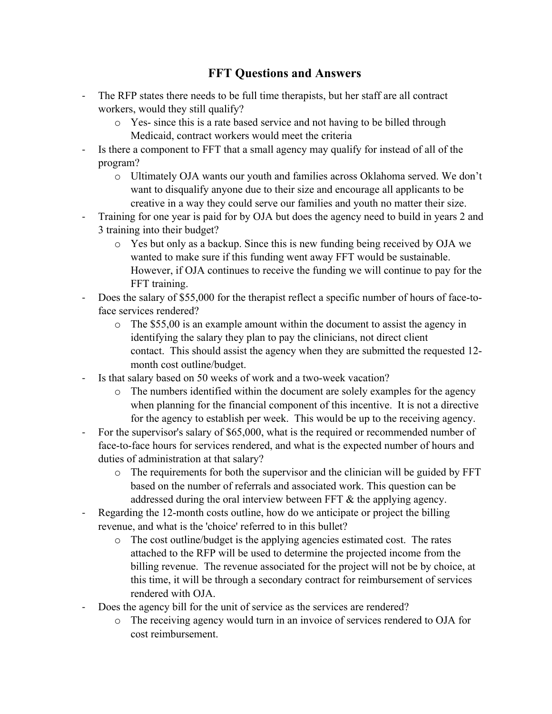## **FFT Questions and Answers**

- The RFP states there needs to be full time therapists, but her staff are all contract workers, would they still qualify?
	- o Yes- since this is a rate based service and not having to be billed through Medicaid, contract workers would meet the criteria
- Is there a component to FFT that a small agency may qualify for instead of all of the program?
	- o Ultimately OJA wants our youth and families across Oklahoma served. We don't want to disqualify anyone due to their size and encourage all applicants to be creative in a way they could serve our families and youth no matter their size.
- Training for one year is paid for by OJA but does the agency need to build in years 2 and 3 training into their budget?
	- o Yes but only as a backup. Since this is new funding being received by OJA we wanted to make sure if this funding went away FFT would be sustainable. However, if OJA continues to receive the funding we will continue to pay for the FFT training.
- Does the salary of \$55,000 for the therapist reflect a specific number of hours of face-toface services rendered?
	- o The \$55,00 is an example amount within the document to assist the agency in identifying the salary they plan to pay the clinicians, not direct client contact. This should assist the agency when they are submitted the requested 12 month cost outline/budget.
- Is that salary based on 50 weeks of work and a two-week vacation?
	- o The numbers identified within the document are solely examples for the agency when planning for the financial component of this incentive. It is not a directive for the agency to establish per week. This would be up to the receiving agency.
- For the supervisor's salary of \$65,000, what is the required or recommended number of face-to-face hours for services rendered, and what is the expected number of hours and duties of administration at that salary?
	- $\circ$  The requirements for both the supervisor and the clinician will be guided by FFT based on the number of referrals and associated work. This question can be addressed during the oral interview between FFT & the applying agency.
- Regarding the 12-month costs outline, how do we anticipate or project the billing revenue, and what is the 'choice' referred to in this bullet?
	- o The cost outline/budget is the applying agencies estimated cost. The rates attached to the RFP will be used to determine the projected income from the billing revenue. The revenue associated for the project will not be by choice, at this time, it will be through a secondary contract for reimbursement of services rendered with OJA.
- Does the agency bill for the unit of service as the services are rendered?
	- o The receiving agency would turn in an invoice of services rendered to OJA for cost reimbursement.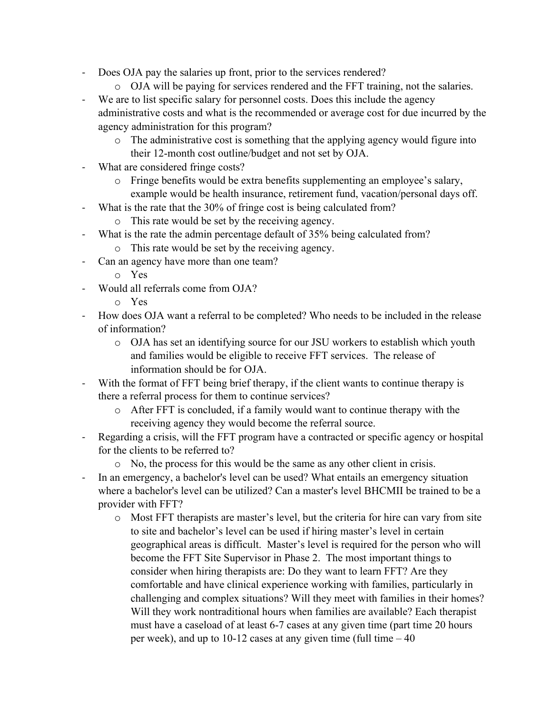- Does OJA pay the salaries up front, prior to the services rendered?
	- o OJA will be paying for services rendered and the FFT training, not the salaries.
- We are to list specific salary for personnel costs. Does this include the agency administrative costs and what is the recommended or average cost for due incurred by the agency administration for this program?
	- o The administrative cost is something that the applying agency would figure into their 12-month cost outline/budget and not set by OJA.
- What are considered fringe costs?
	- o Fringe benefits would be extra benefits supplementing an employee's salary, example would be health insurance, retirement fund, vacation/personal days off.
- What is the rate that the 30% of fringe cost is being calculated from?
	- o This rate would be set by the receiving agency.
- What is the rate the admin percentage default of 35% being calculated from?
	- o This rate would be set by the receiving agency.
- Can an agency have more than one team?
	- o Yes
- Would all referrals come from OJA?
	- o Yes
- How does OJA want a referral to be completed? Who needs to be included in the release of information?
	- o OJA has set an identifying source for our JSU workers to establish which youth and families would be eligible to receive FFT services. The release of information should be for OJA.
- With the format of FFT being brief therapy, if the client wants to continue therapy is there a referral process for them to continue services?
	- o After FFT is concluded, if a family would want to continue therapy with the receiving agency they would become the referral source.
- Regarding a crisis, will the FFT program have a contracted or specific agency or hospital for the clients to be referred to?
	- o No, the process for this would be the same as any other client in crisis.
- In an emergency, a bachelor's level can be used? What entails an emergency situation where a bachelor's level can be utilized? Can a master's level BHCMII be trained to be a provider with FFT?
	- o Most FFT therapists are master's level, but the criteria for hire can vary from site to site and bachelor's level can be used if hiring master's level in certain geographical areas is difficult. Master's level is required for the person who will become the FFT Site Supervisor in Phase 2. The most important things to consider when hiring therapists are: Do they want to learn FFT? Are they comfortable and have clinical experience working with families, particularly in challenging and complex situations? Will they meet with families in their homes? Will they work nontraditional hours when families are available? Each therapist must have a caseload of at least 6-7 cases at any given time (part time 20 hours per week), and up to 10-12 cases at any given time (full time – 40